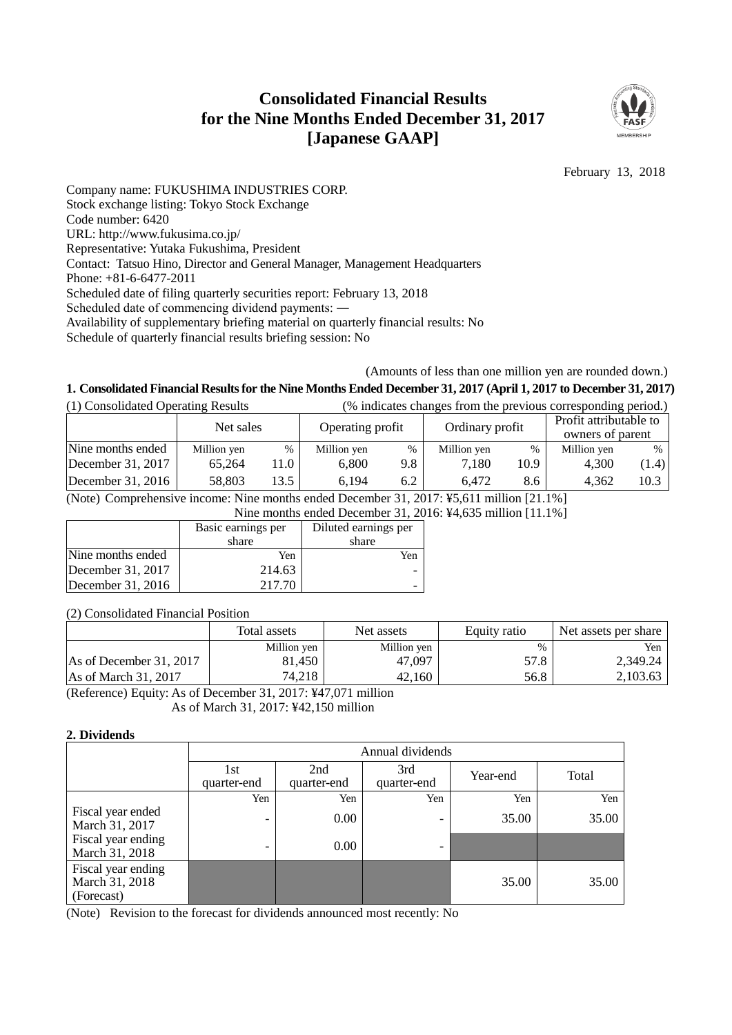# **Consolidated Financial Results for the Nine Months Ended December 31, 2017 [Japanese GAAP]**



February 13, 2018

Company name: FUKUSHIMA INDUSTRIES CORP. Stock exchange listing: Tokyo Stock Exchange Code number: 6420 URL: http://www.fukusima.co.jp/ Representative: Yutaka Fukushima, President Contact: Tatsuo Hino, Director and General Manager, Management Headquarters Phone: +81-6-6477-2011 Scheduled date of filing quarterly securities report: February 13, 2018 Scheduled date of commencing dividend payments: ― Availability of supplementary briefing material on quarterly financial results: No Schedule of quarterly financial results briefing session: No

#### (Amounts of less than one million yen are rounded down.)

## **1. Consolidated Financial Results for the Nine Months Ended December 31, 2017 (April 1, 2017 to December 31, 2017)**

| (1) Consolidated Operating Results |             | (% indicates changes from the previous corresponding period.) |                  |      |                 |      |                                            |       |
|------------------------------------|-------------|---------------------------------------------------------------|------------------|------|-----------------|------|--------------------------------------------|-------|
|                                    | Net sales   |                                                               | Operating profit |      | Ordinary profit |      | Profit attributable to<br>owners of parent |       |
| Nine months ended                  | Million yen | %                                                             | Million yen      | $\%$ | Million yen     | %    | Million yen                                | $\%$  |
| December 31, 2017                  | 65.264      | 11.0                                                          | 6.800            | 9.8  | 7.180           | 10.9 | 4.300                                      | (1.4) |
| December $31, 2016$                | 58,803      | 13.5                                                          | 6.194            | 6.2  | 6.472           | 8.6  | 4.362                                      | 10.3  |

(Note) Comprehensive income: Nine months ended December 31, 2017: ¥5,611 million [21.1%]

Nine months ended December 31, 2016: ¥4,635 million [11.1%]

|                     | Basic earnings per | Diluted earnings per |
|---------------------|--------------------|----------------------|
|                     | share              | share                |
| Nine months ended   | Yen                | Yen                  |
| December 31, 2017   | 214.63             |                      |
| December $31, 2016$ | 217.70             |                      |

(2) Consolidated Financial Position

|                               | Total assets | Net assets  | Equity ratio | Net assets per share |
|-------------------------------|--------------|-------------|--------------|----------------------|
|                               | Million yen  | Million yen | $\%$         | Yen                  |
| As of December 31, 2017       | 81.450       | 47,097      | 57.8         | 2,349.24             |
| $\text{As}$ of March 31, 2017 | 74,218       | 42.160      | 56.8         | 2.103.63             |

(Reference) Equity: As of December 31, 2017: ¥47,071 million As of March 31, 2017: ¥42,150 million

#### **2. Dividends**

|                                                    | Annual dividends   |                    |                          |          |       |  |  |
|----------------------------------------------------|--------------------|--------------------|--------------------------|----------|-------|--|--|
|                                                    | 1st<br>quarter-end | 2nd<br>quarter-end | 3rd<br>quarter-end       | Year-end | Total |  |  |
|                                                    | Yen                | Yen                | Yen                      | Yen      | Yen   |  |  |
| Fiscal year ended<br>March 31, 2017                |                    | 0.00               | $\overline{\phantom{a}}$ | 35.00    | 35.00 |  |  |
| Fiscal year ending<br>March 31, 2018               |                    | 0.00               | $\overline{\phantom{0}}$ |          |       |  |  |
| Fiscal year ending<br>March 31, 2018<br>(Forecast) |                    |                    |                          | 35.00    | 35.00 |  |  |

(Note) Revision to the forecast for dividends announced most recently: No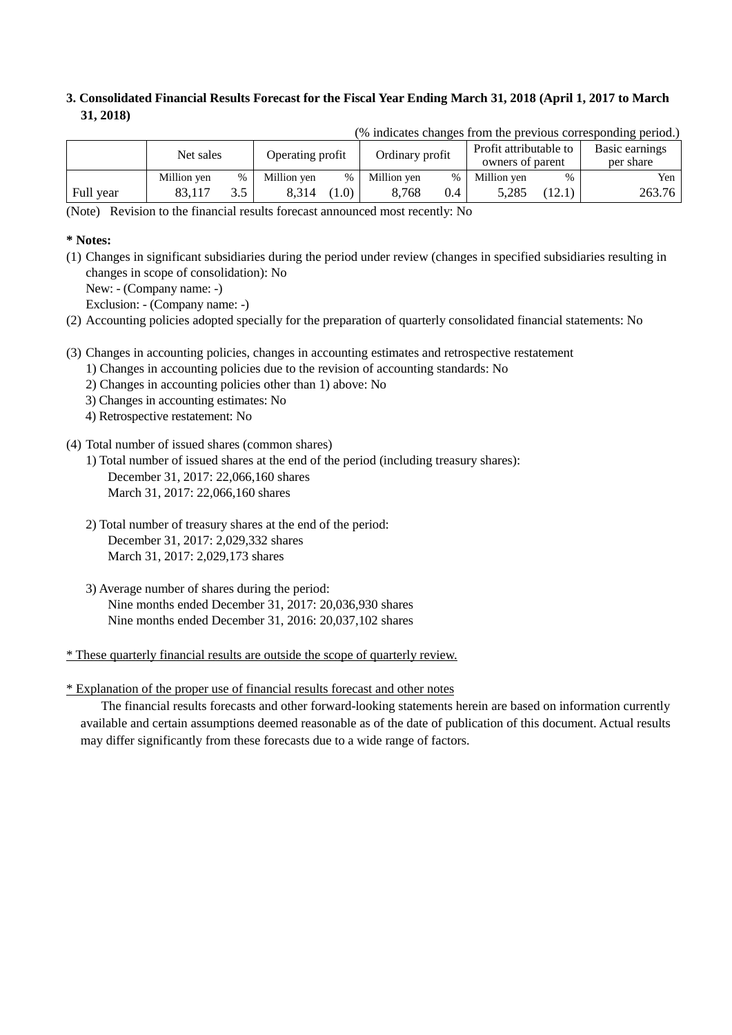## **3. Consolidated Financial Results Forecast for the Fiscal Year Ending March 31, 2018 (April 1, 2017 to March 31, 2018)**

|           | .           |      |                                     |     |                        |      |                  |                |           |
|-----------|-------------|------|-------------------------------------|-----|------------------------|------|------------------|----------------|-----------|
|           | Net sales   |      | Operating profit<br>Ordinary profit |     | Profit attributable to |      |                  | Basic earnings |           |
|           |             |      |                                     |     |                        |      | owners of parent |                | per share |
|           | Million yen | $\%$ | Million yen                         | %   | Million yen            | $\%$ | Million yen      | $\%$           | Yen       |
| Full year | 83.117      |      | 8.314                               | 1.0 | 8.768                  | 0.4  | 5.285            | 12.1           | 263.76    |

(% indicates changes from the previous corresponding period.)

(Note) Revision to the financial results forecast announced most recently: No

### **\* Notes:**

- (1) Changes in significant subsidiaries during the period under review (changes in specified subsidiaries resulting in changes in scope of consolidation): No
	- New: (Company name: -)

Exclusion: - (Company name: -)

- (2) Accounting policies adopted specially for the preparation of quarterly consolidated financial statements: No
- (3) Changes in accounting policies, changes in accounting estimates and retrospective restatement
	- 1) Changes in accounting policies due to the revision of accounting standards: No
		- 2) Changes in accounting policies other than 1) above: No
		- 3) Changes in accounting estimates: No
		- 4) Retrospective restatement: No
- (4) Total number of issued shares (common shares)
	- 1) Total number of issued shares at the end of the period (including treasury shares): December 31, 2017: 22,066,160 shares March 31, 2017: 22,066,160 shares
	- 2) Total number of treasury shares at the end of the period: December 31, 2017: 2,029,332 shares March 31, 2017: 2,029,173 shares
	- 3) Average number of shares during the period: Nine months ended December 31, 2017: 20,036,930 shares Nine months ended December 31, 2016: 20,037,102 shares

\* These quarterly financial results are outside the scope of quarterly review.

\* Explanation of the proper use of financial results forecast and other notes

The financial results forecasts and other forward-looking statements herein are based on information currently available and certain assumptions deemed reasonable as of the date of publication of this document. Actual results may differ significantly from these forecasts due to a wide range of factors.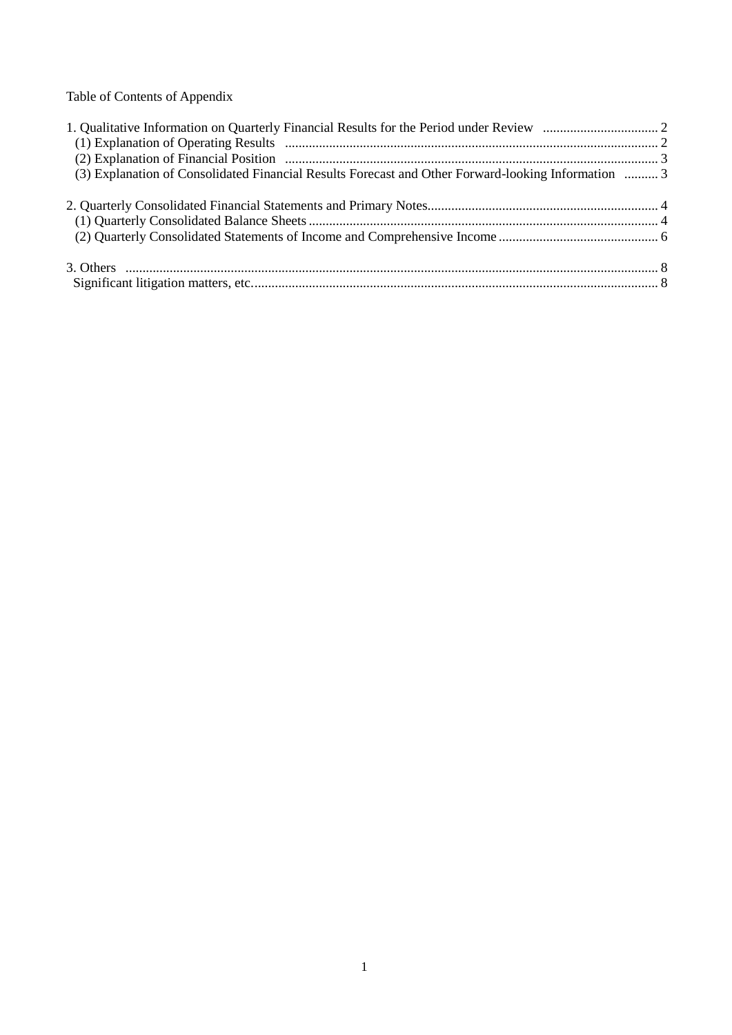Table of Contents of Appendix

| (3) Explanation of Consolidated Financial Results Forecast and Other Forward-looking Information  3 |  |
|-----------------------------------------------------------------------------------------------------|--|
|                                                                                                     |  |
|                                                                                                     |  |
|                                                                                                     |  |
|                                                                                                     |  |
|                                                                                                     |  |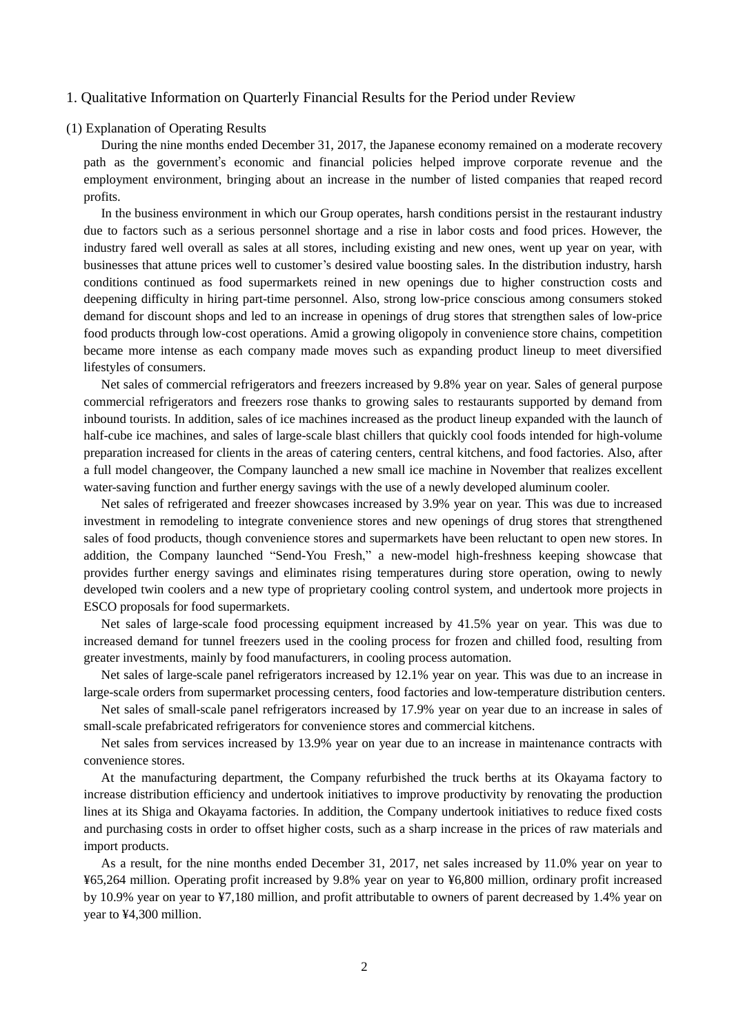#### 1. Qualitative Information on Quarterly Financial Results for the Period under Review

#### (1) Explanation of Operating Results

During the nine months ended December 31, 2017, the Japanese economy remained on a moderate recovery path as the government's economic and financial policies helped improve corporate revenue and the employment environment, bringing about an increase in the number of listed companies that reaped record profits.

In the business environment in which our Group operates, harsh conditions persist in the restaurant industry due to factors such as a serious personnel shortage and a rise in labor costs and food prices. However, the industry fared well overall as sales at all stores, including existing and new ones, went up year on year, with businesses that attune prices well to customer's desired value boosting sales. In the distribution industry, harsh conditions continued as food supermarkets reined in new openings due to higher construction costs and deepening difficulty in hiring part-time personnel. Also, strong low-price conscious among consumers stoked demand for discount shops and led to an increase in openings of drug stores that strengthen sales of low-price food products through low-cost operations. Amid a growing oligopoly in convenience store chains, competition became more intense as each company made moves such as expanding product lineup to meet diversified lifestyles of consumers.

Net sales of commercial refrigerators and freezers increased by 9.8% year on year. Sales of general purpose commercial refrigerators and freezers rose thanks to growing sales to restaurants supported by demand from inbound tourists. In addition, sales of ice machines increased as the product lineup expanded with the launch of half-cube ice machines, and sales of large-scale blast chillers that quickly cool foods intended for high-volume preparation increased for clients in the areas of catering centers, central kitchens, and food factories. Also, after a full model changeover, the Company launched a new small ice machine in November that realizes excellent water-saving function and further energy savings with the use of a newly developed aluminum cooler.

Net sales of refrigerated and freezer showcases increased by 3.9% year on year. This was due to increased investment in remodeling to integrate convenience stores and new openings of drug stores that strengthened sales of food products, though convenience stores and supermarkets have been reluctant to open new stores. In addition, the Company launched "Send-You Fresh," a new-model high-freshness keeping showcase that provides further energy savings and eliminates rising temperatures during store operation, owing to newly developed twin coolers and a new type of proprietary cooling control system, and undertook more projects in ESCO proposals for food supermarkets.

Net sales of large-scale food processing equipment increased by 41.5% year on year. This was due to increased demand for tunnel freezers used in the cooling process for frozen and chilled food, resulting from greater investments, mainly by food manufacturers, in cooling process automation.

Net sales of large-scale panel refrigerators increased by 12.1% year on year. This was due to an increase in large-scale orders from supermarket processing centers, food factories and low-temperature distribution centers.

Net sales of small-scale panel refrigerators increased by 17.9% year on year due to an increase in sales of small-scale prefabricated refrigerators for convenience stores and commercial kitchens.

Net sales from services increased by 13.9% year on year due to an increase in maintenance contracts with convenience stores.

At the manufacturing department, the Company refurbished the truck berths at its Okayama factory to increase distribution efficiency and undertook initiatives to improve productivity by renovating the production lines at its Shiga and Okayama factories. In addition, the Company undertook initiatives to reduce fixed costs and purchasing costs in order to offset higher costs, such as a sharp increase in the prices of raw materials and import products.

As a result, for the nine months ended December 31, 2017, net sales increased by 11.0% year on year to ¥65,264 million. Operating profit increased by 9.8% year on year to ¥6,800 million, ordinary profit increased by 10.9% year on year to ¥7,180 million, and profit attributable to owners of parent decreased by 1.4% year on year to ¥4,300 million.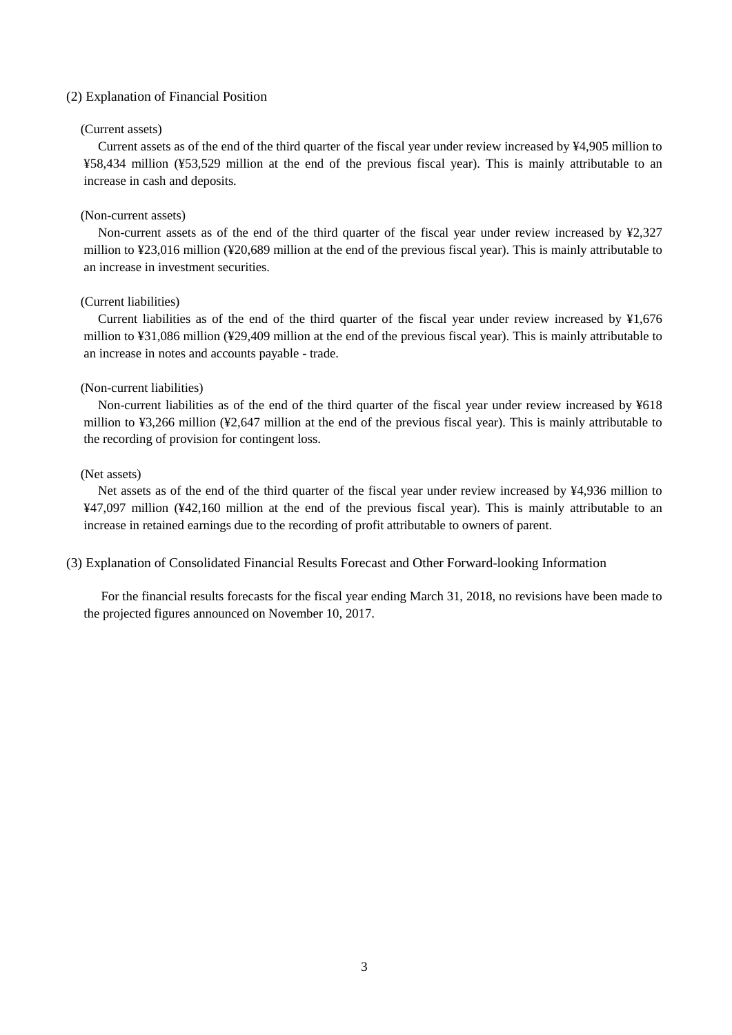#### (2) Explanation of Financial Position

#### (Current assets)

Current assets as of the end of the third quarter of the fiscal year under review increased by ¥4,905 million to ¥58,434 million (¥53,529 million at the end of the previous fiscal year). This is mainly attributable to an increase in cash and deposits.

#### (Non-current assets)

Non-current assets as of the end of the third quarter of the fiscal year under review increased by ¥2,327 million to ¥23,016 million (¥20,689 million at the end of the previous fiscal year). This is mainly attributable to an increase in investment securities.

### (Current liabilities)

Current liabilities as of the end of the third quarter of the fiscal year under review increased by ¥1,676 million to ¥31,086 million (¥29,409 million at the end of the previous fiscal year). This is mainly attributable to an increase in notes and accounts payable - trade.

#### (Non-current liabilities)

Non-current liabilities as of the end of the third quarter of the fiscal year under review increased by ¥618 million to ¥3,266 million (¥2,647 million at the end of the previous fiscal year). This is mainly attributable to the recording of provision for contingent loss.

#### (Net assets)

Net assets as of the end of the third quarter of the fiscal year under review increased by ¥4,936 million to ¥47,097 million (¥42,160 million at the end of the previous fiscal year). This is mainly attributable to an increase in retained earnings due to the recording of profit attributable to owners of parent.

(3) Explanation of Consolidated Financial Results Forecast and Other Forward-looking Information

For the financial results forecasts for the fiscal year ending March 31, 2018, no revisions have been made to the projected figures announced on November 10, 2017.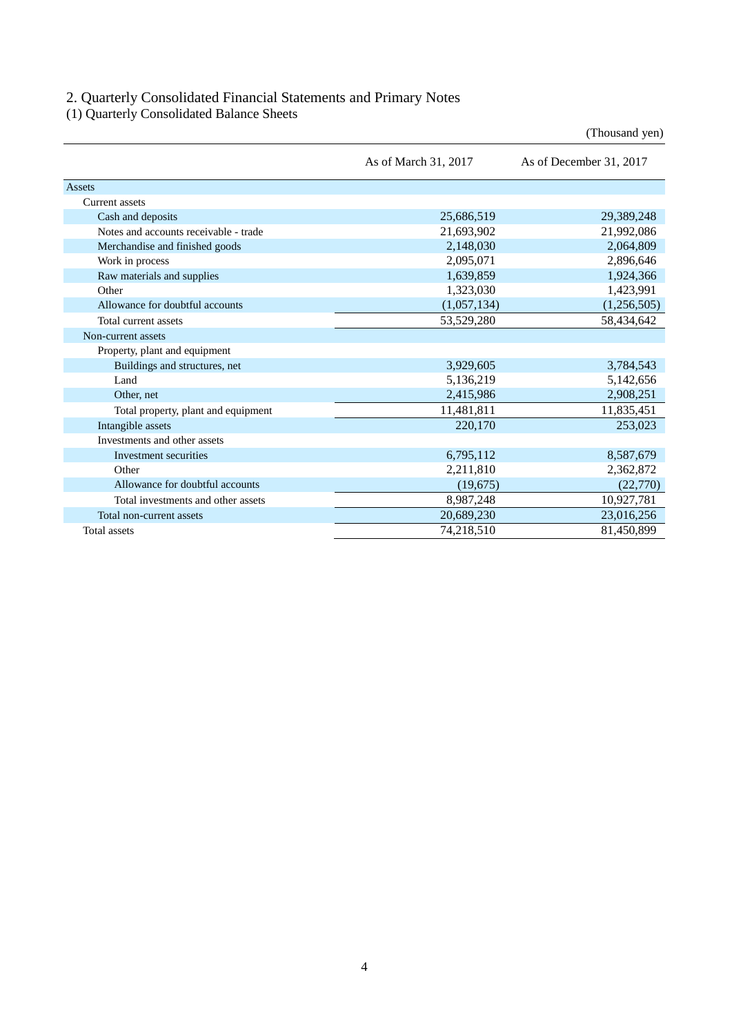### 2. Quarterly Consolidated Financial Statements and Primary Notes

(1) Quarterly Consolidated Balance Sheets

|                                       |                      | (Thousand yen)          |
|---------------------------------------|----------------------|-------------------------|
|                                       | As of March 31, 2017 | As of December 31, 2017 |
| Assets                                |                      |                         |
| Current assets                        |                      |                         |
| Cash and deposits                     | 25,686,519           | 29,389,248              |
| Notes and accounts receivable - trade | 21,693,902           | 21,992,086              |
| Merchandise and finished goods        | 2,148,030            | 2,064,809               |
| Work in process                       | 2,095,071            | 2,896,646               |
| Raw materials and supplies            | 1,639,859            | 1,924,366               |
| Other                                 | 1,323,030            | 1,423,991               |
| Allowance for doubtful accounts       | (1,057,134)          | (1,256,505)             |
| Total current assets                  | 53,529,280           | 58,434,642              |
| Non-current assets                    |                      |                         |
| Property, plant and equipment         |                      |                         |
| Buildings and structures, net         | 3,929,605            | 3,784,543               |
| Land                                  | 5,136,219            | 5,142,656               |
| Other, net                            | 2,415,986            | 2,908,251               |
| Total property, plant and equipment   | 11,481,811           | 11,835,451              |
| Intangible assets                     | 220,170              | 253,023                 |
| Investments and other assets          |                      |                         |
| Investment securities                 | 6,795,112            | 8,587,679               |
| Other                                 | 2,211,810            | 2,362,872               |
| Allowance for doubtful accounts       | (19,675)             | (22,770)                |
| Total investments and other assets    | 8,987,248            | 10,927,781              |
| Total non-current assets              | 20,689,230           | 23,016,256              |
| Total assets                          | 74,218,510           | 81,450,899              |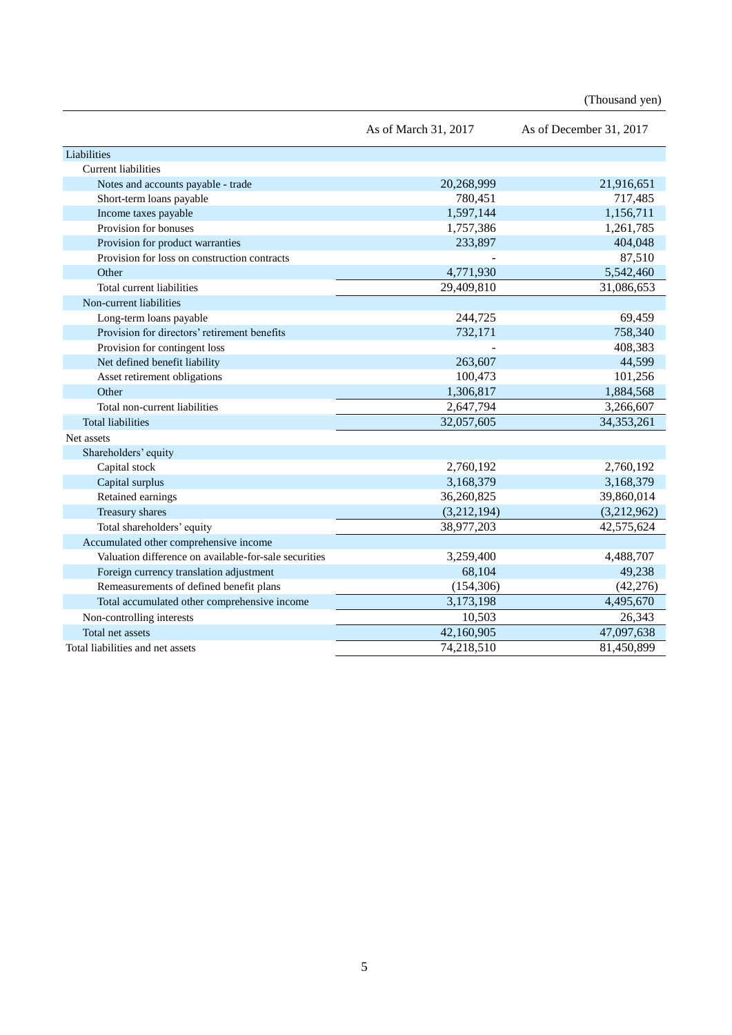(Thousand yen)

|                                                       | As of March 31, 2017 | As of December 31, 2017 |
|-------------------------------------------------------|----------------------|-------------------------|
| Liabilities                                           |                      |                         |
| <b>Current liabilities</b>                            |                      |                         |
| Notes and accounts payable - trade                    | 20,268,999           | 21,916,651              |
| Short-term loans payable                              | 780,451              | 717,485                 |
| Income taxes payable                                  | 1,597,144            | 1,156,711               |
| Provision for bonuses                                 | 1,757,386            | 1,261,785               |
| Provision for product warranties                      | 233,897              | 404,048                 |
| Provision for loss on construction contracts          |                      | 87,510                  |
| Other                                                 | 4,771,930            | 5,542,460               |
| Total current liabilities                             | 29,409,810           | 31,086,653              |
| Non-current liabilities                               |                      |                         |
| Long-term loans payable                               | 244,725              | 69,459                  |
| Provision for directors' retirement benefits          | 732,171              | 758,340                 |
| Provision for contingent loss                         |                      | 408,383                 |
| Net defined benefit liability                         | 263,607              | 44,599                  |
| Asset retirement obligations                          | 100,473              | 101,256                 |
| Other                                                 | 1,306,817            | 1,884,568               |
| Total non-current liabilities                         | 2,647,794            | 3,266,607               |
| <b>Total liabilities</b>                              | 32,057,605           | 34, 353, 261            |
| Net assets                                            |                      |                         |
| Shareholders' equity                                  |                      |                         |
| Capital stock                                         | 2,760,192            | 2,760,192               |
| Capital surplus                                       | 3,168,379            | 3,168,379               |
| Retained earnings                                     | 36,260,825           | 39,860,014              |
| Treasury shares                                       | (3,212,194)          | (3,212,962)             |
| Total shareholders' equity                            | 38,977,203           | 42,575,624              |
| Accumulated other comprehensive income                |                      |                         |
| Valuation difference on available-for-sale securities | 3,259,400            | 4,488,707               |
| Foreign currency translation adjustment               | 68,104               | 49,238                  |
| Remeasurements of defined benefit plans               | (154, 306)           | (42, 276)               |
| Total accumulated other comprehensive income          | 3,173,198            | 4,495,670               |
| Non-controlling interests                             | 10,503               | 26,343                  |
| Total net assets                                      | 42,160,905           | 47,097,638              |
| Total liabilities and net assets                      | 74,218,510           | 81,450,899              |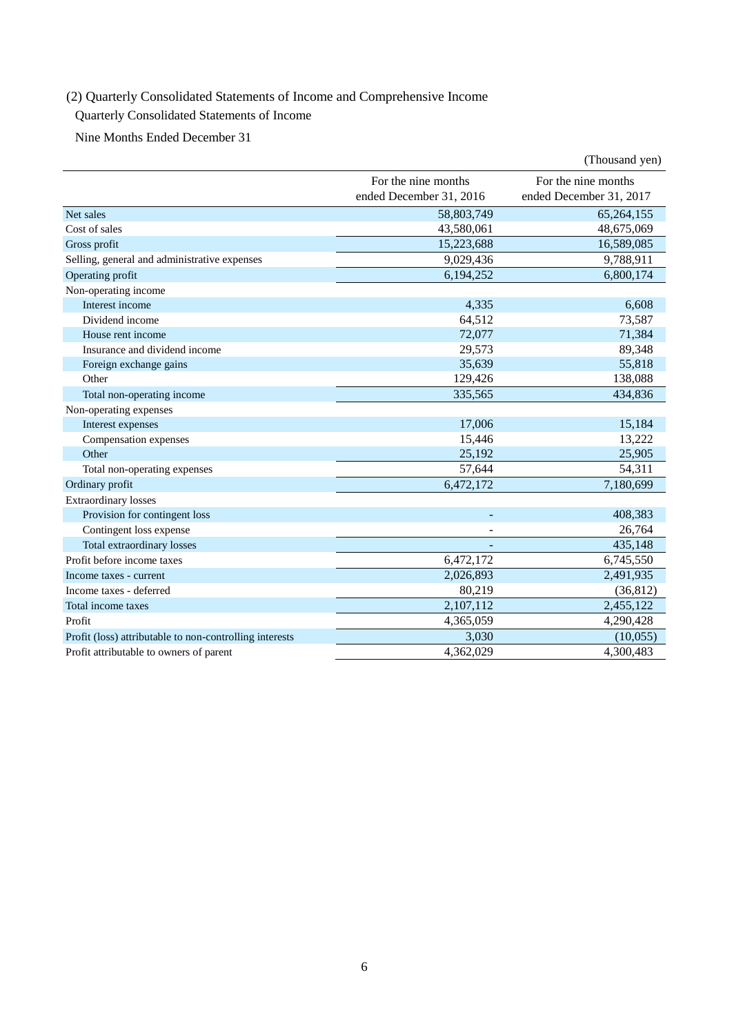## (2) Quarterly Consolidated Statements of Income and Comprehensive Income

## Quarterly Consolidated Statements of Income

Nine Months Ended December 31

|                                                         |                                                | (Thousand yen)                                 |
|---------------------------------------------------------|------------------------------------------------|------------------------------------------------|
|                                                         | For the nine months<br>ended December 31, 2016 | For the nine months<br>ended December 31, 2017 |
| Net sales                                               | 58,803,749                                     | 65,264,155                                     |
| Cost of sales                                           | 43,580,061                                     | 48,675,069                                     |
| Gross profit                                            | 15,223,688                                     | 16,589,085                                     |
| Selling, general and administrative expenses            | 9,029,436                                      | 9,788,911                                      |
| Operating profit                                        | 6,194,252                                      | 6,800,174                                      |
| Non-operating income                                    |                                                |                                                |
| Interest income                                         | 4,335                                          | 6.608                                          |
| Dividend income                                         | 64,512                                         | 73,587                                         |
| House rent income                                       | 72,077                                         | 71,384                                         |
| Insurance and dividend income                           | 29,573                                         | 89,348                                         |
| Foreign exchange gains                                  | 35,639                                         | 55,818                                         |
| Other                                                   | 129,426                                        | 138,088                                        |
| Total non-operating income                              | 335,565                                        | 434,836                                        |
| Non-operating expenses                                  |                                                |                                                |
| Interest expenses                                       | 17,006                                         | 15,184                                         |
| Compensation expenses                                   | 15,446                                         | 13,222                                         |
| Other                                                   | 25,192                                         | 25,905                                         |
| Total non-operating expenses                            | 57,644                                         | 54,311                                         |
| Ordinary profit                                         | 6,472,172                                      | 7,180,699                                      |
| <b>Extraordinary losses</b>                             |                                                |                                                |
| Provision for contingent loss                           |                                                | 408,383                                        |
| Contingent loss expense                                 |                                                | 26,764                                         |
| Total extraordinary losses                              |                                                | 435,148                                        |
| Profit before income taxes                              | 6,472,172                                      | 6,745,550                                      |
| Income taxes - current                                  | 2,026,893                                      | 2,491,935                                      |
| Income taxes - deferred                                 | 80,219                                         | (36, 812)                                      |
| Total income taxes                                      | $\overline{2,}107,112$                         | 2,455,122                                      |
| Profit                                                  | 4,365,059                                      | 4,290,428                                      |
| Profit (loss) attributable to non-controlling interests | 3,030                                          | (10,055)                                       |
| Profit attributable to owners of parent                 | 4,362,029                                      | 4,300,483                                      |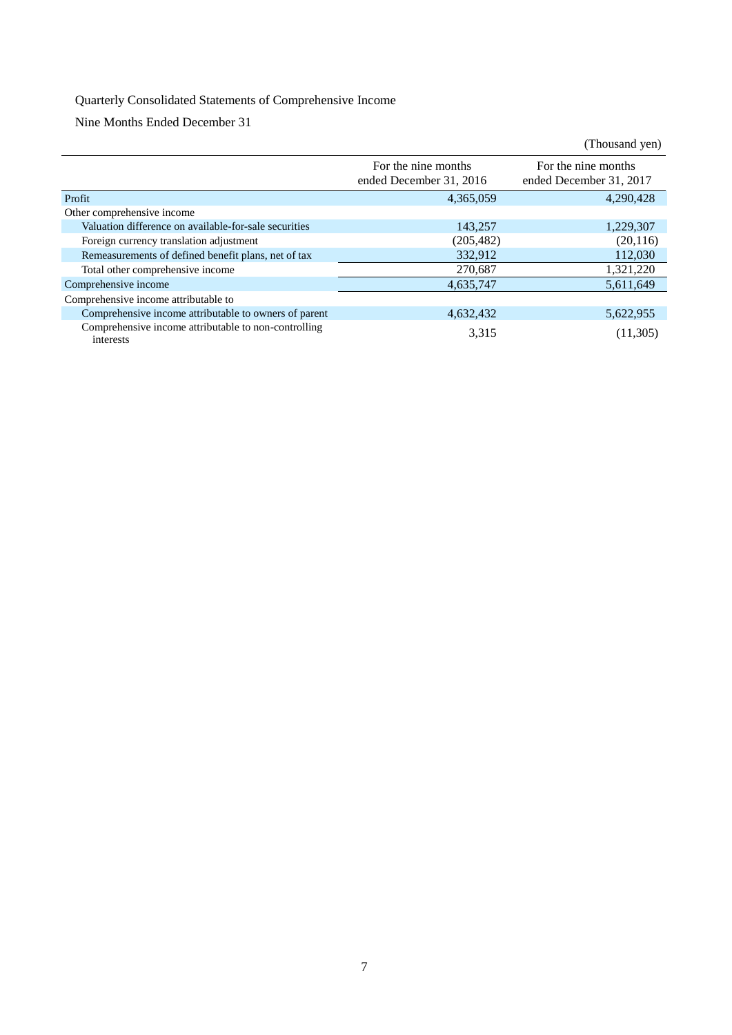## Quarterly Consolidated Statements of Comprehensive Income

Nine Months Ended December 31

|                                                                   |                                                | (Thousand yen)                                 |
|-------------------------------------------------------------------|------------------------------------------------|------------------------------------------------|
|                                                                   | For the nine months<br>ended December 31, 2016 | For the nine months<br>ended December 31, 2017 |
| Profit                                                            | 4,365,059                                      | 4,290,428                                      |
| Other comprehensive income                                        |                                                |                                                |
| Valuation difference on available-for-sale securities             | 143.257                                        | 1,229,307                                      |
| Foreign currency translation adjustment                           | (205, 482)                                     | (20, 116)                                      |
| Remeasurements of defined benefit plans, net of tax               | 332,912                                        | 112,030                                        |
| Total other comprehensive income                                  | 270,687                                        | 1,321,220                                      |
| Comprehensive income                                              | 4,635,747                                      | 5,611,649                                      |
| Comprehensive income attributable to                              |                                                |                                                |
| Comprehensive income attributable to owners of parent             | 4,632,432                                      | 5,622,955                                      |
| Comprehensive income attributable to non-controlling<br>interests | 3,315                                          | (11, 305)                                      |